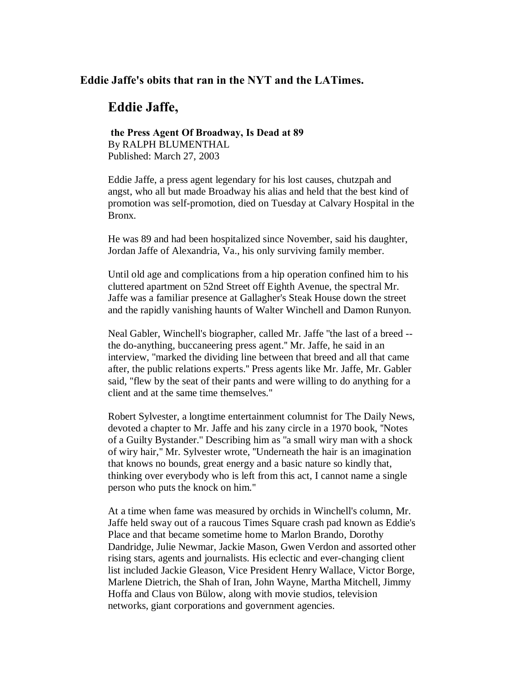## **Eddie Jaffe's obits that ran in the NYT and the LATimes.**

## **Eddie Jaffe,**

 **the Press Agent Of Broadway, Is Dead at 89** By RALPH BLUMENTHAL Published: March 27, 2003

Eddie Jaffe, a press agent legendary for his lost causes, chutzpah and angst, who all but made Broadway his alias and held that the best kind of promotion was self-promotion, died on Tuesday at Calvary Hospital in the Bronx.

He was 89 and had been hospitalized since November, said his daughter, Jordan Jaffe of Alexandria, Va., his only surviving family member.

Until old age and complications from a hip operation confined him to his cluttered apartment on 52nd Street off Eighth Avenue, the spectral Mr. Jaffe was a familiar presence at Gallagher's Steak House down the street and the rapidly vanishing haunts of Walter Winchell and Damon Runyon.

Neal Gabler, Winchell's biographer, called Mr. Jaffe ''the last of a breed - the do-anything, buccaneering press agent.'' Mr. Jaffe, he said in an interview, ''marked the dividing line between that breed and all that came after, the public relations experts.'' Press agents like Mr. Jaffe, Mr. Gabler said, ''flew by the seat of their pants and were willing to do anything for a client and at the same time themselves.''

Robert Sylvester, a longtime entertainment columnist for The Daily News, devoted a chapter to Mr. Jaffe and his zany circle in a 1970 book, ''Notes of a Guilty Bystander.'' Describing him as ''a small wiry man with a shock of wiry hair,'' Mr. Sylvester wrote, ''Underneath the hair is an imagination that knows no bounds, great energy and a basic nature so kindly that, thinking over everybody who is left from this act, I cannot name a single person who puts the knock on him.''

At a time when fame was measured by orchids in Winchell's column, Mr. Jaffe held sway out of a raucous Times Square crash pad known as Eddie's Place and that became sometime home to Marlon Brando, Dorothy Dandridge, Julie Newmar, Jackie Mason, Gwen Verdon and assorted other rising stars, agents and journalists. His eclectic and ever-changing client list included Jackie Gleason, Vice President Henry Wallace, Victor Borge, Marlene Dietrich, the Shah of Iran, John Wayne, Martha Mitchell, Jimmy Hoffa and Claus von Bülow, along with movie studios, television networks, giant corporations and government agencies.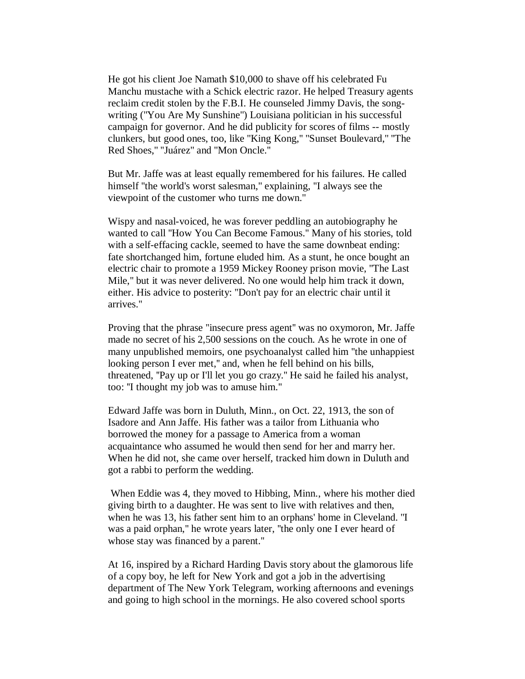He got his client Joe Namath \$10,000 to shave off his celebrated Fu Manchu mustache with a Schick electric razor. He helped Treasury agents reclaim credit stolen by the F.B.I. He counseled Jimmy Davis, the songwriting (''You Are My Sunshine'') Louisiana politician in his successful campaign for governor. And he did publicity for scores of films -- mostly clunkers, but good ones, too, like ''King Kong,'' ''Sunset Boulevard,'' ''The Red Shoes,'' ''Juárez'' and ''Mon Oncle.''

But Mr. Jaffe was at least equally remembered for his failures. He called himself ''the world's worst salesman,'' explaining, ''I always see the viewpoint of the customer who turns me down.''

Wispy and nasal-voiced, he was forever peddling an autobiography he wanted to call ''How You Can Become Famous.'' Many of his stories, told with a self-effacing cackle, seemed to have the same downbeat ending: fate shortchanged him, fortune eluded him. As a stunt, he once bought an electric chair to promote a 1959 Mickey Rooney prison movie, ''The Last Mile,'' but it was never delivered. No one would help him track it down, either. His advice to posterity: ''Don't pay for an electric chair until it arrives.''

Proving that the phrase ''insecure press agent'' was no oxymoron, Mr. Jaffe made no secret of his 2,500 sessions on the couch. As he wrote in one of many unpublished memoirs, one psychoanalyst called him ''the unhappiest looking person I ever met," and, when he fell behind on his bills, threatened, ''Pay up or I'll let you go crazy.'' He said he failed his analyst, too: ''I thought my job was to amuse him.''

Edward Jaffe was born in Duluth, Minn., on Oct. 22, 1913, the son of Isadore and Ann Jaffe. His father was a tailor from Lithuania who borrowed the money for a passage to America from a woman acquaintance who assumed he would then send for her and marry her. When he did not, she came over herself, tracked him down in Duluth and got a rabbi to perform the wedding.

When Eddie was 4, they moved to Hibbing, Minn., where his mother died giving birth to a daughter. He was sent to live with relatives and then, when he was 13, his father sent him to an orphans' home in Cleveland. ''I was a paid orphan,'' he wrote years later, ''the only one I ever heard of whose stay was financed by a parent.''

At 16, inspired by a Richard Harding Davis story about the glamorous life of a copy boy, he left for New York and got a job in the advertising department of The New York Telegram, working afternoons and evenings and going to high school in the mornings. He also covered school sports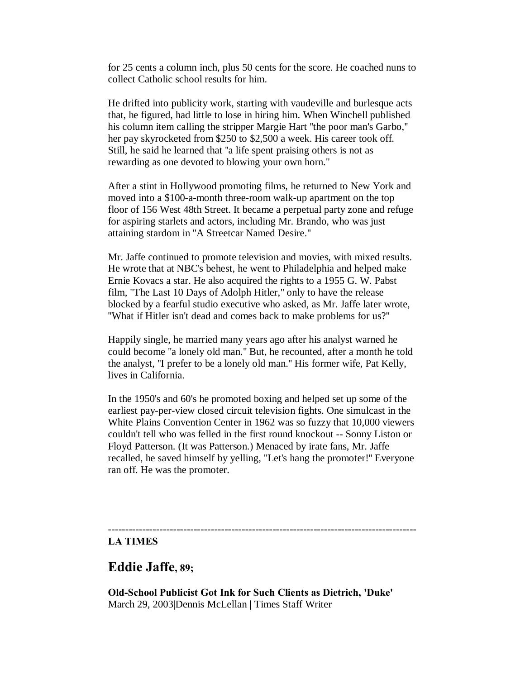for 25 cents a column inch, plus 50 cents for the score. He coached nuns to collect Catholic school results for him.

He drifted into publicity work, starting with vaudeville and burlesque acts that, he figured, had little to lose in hiring him. When Winchell published his column item calling the stripper Margie Hart ''the poor man's Garbo,'' her pay skyrocketed from \$250 to \$2,500 a week. His career took off. Still, he said he learned that ''a life spent praising others is not as rewarding as one devoted to blowing your own horn.''

After a stint in Hollywood promoting films, he returned to New York and moved into a \$100-a-month three-room walk-up apartment on the top floor of 156 West 48th Street. It became a perpetual party zone and refuge for aspiring starlets and actors, including Mr. Brando, who was just attaining stardom in ''A Streetcar Named Desire.''

Mr. Jaffe continued to promote television and movies, with mixed results. He wrote that at NBC's behest, he went to Philadelphia and helped make Ernie Kovacs a star. He also acquired the rights to a 1955 G. W. Pabst film, ''The Last 10 Days of Adolph Hitler,'' only to have the release blocked by a fearful studio executive who asked, as Mr. Jaffe later wrote, ''What if Hitler isn't dead and comes back to make problems for us?''

Happily single, he married many years ago after his analyst warned he could become ''a lonely old man.'' But, he recounted, after a month he told the analyst, ''I prefer to be a lonely old man.'' His former wife, Pat Kelly, lives in California.

In the 1950's and 60's he promoted boxing and helped set up some of the earliest pay-per-view closed circuit television fights. One simulcast in the White Plains Convention Center in 1962 was so fuzzy that 10,000 viewers couldn't tell who was felled in the first round knockout -- Sonny Liston or Floyd Patterson. (It was Patterson.) Menaced by irate fans, Mr. Jaffe recalled, he saved himself by yelling, ''Let's hang the promoter!'' Everyone ran off. He was the promoter.

------------------------------------------------------------------------------------------

## **LA TIMES**

## **Eddie Jaffe, 89;**

**Old-School Publicist Got Ink for Such Clients as Dietrich, 'Duke'** March 29, 2003|Dennis McLellan | Times Staff Writer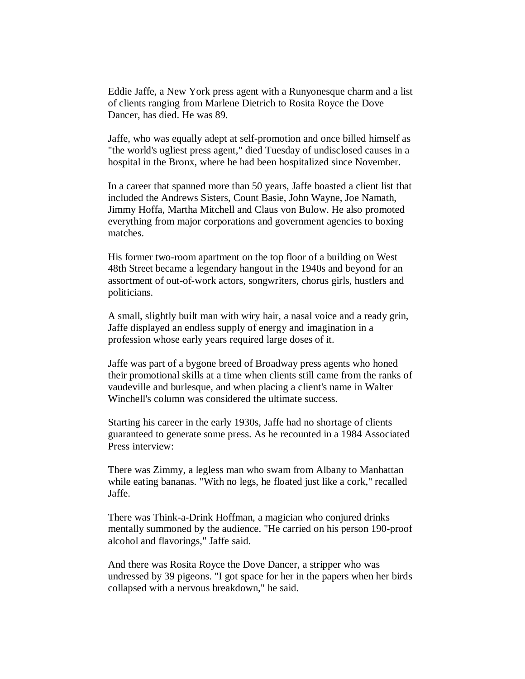Eddie Jaffe, a New York press agent with a Runyonesque charm and a list of clients ranging from Marlene Dietrich to Rosita Royce the Dove Dancer, has died. He was 89.

Jaffe, who was equally adept at self-promotion and once billed himself as "the world's ugliest press agent," died Tuesday of undisclosed causes in a hospital in the Bronx, where he had been hospitalized since November.

In a career that spanned more than 50 years, Jaffe boasted a client list that included the Andrews Sisters, Count Basie, John Wayne, Joe Namath, Jimmy Hoffa, Martha Mitchell and Claus von Bulow. He also promoted everything from major corporations and government agencies to boxing matches.

His former two-room apartment on the top floor of a building on West 48th Street became a legendary hangout in the 1940s and beyond for an assortment of out-of-work actors, songwriters, chorus girls, hustlers and politicians.

A small, slightly built man with wiry hair, a nasal voice and a ready grin, Jaffe displayed an endless supply of energy and imagination in a profession whose early years required large doses of it.

Jaffe was part of a bygone breed of Broadway press agents who honed their promotional skills at a time when clients still came from the ranks of vaudeville and burlesque, and when placing a client's name in Walter Winchell's column was considered the ultimate success.

Starting his career in the early 1930s, Jaffe had no shortage of clients guaranteed to generate some press. As he recounted in a 1984 Associated Press interview:

There was Zimmy, a legless man who swam from Albany to Manhattan while eating bananas. "With no legs, he floated just like a cork," recalled Jaffe.

There was Think-a-Drink Hoffman, a magician who conjured drinks mentally summoned by the audience. "He carried on his person 190-proof alcohol and flavorings," Jaffe said.

And there was Rosita Royce the Dove Dancer, a stripper who was undressed by 39 pigeons. "I got space for her in the papers when her birds collapsed with a nervous breakdown," he said.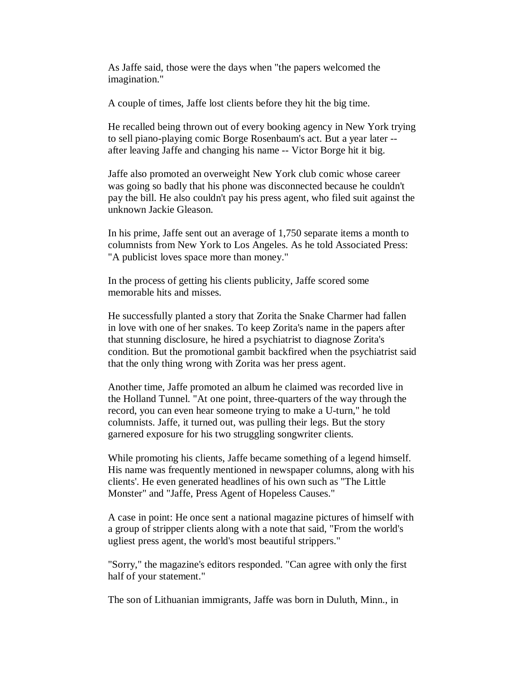As Jaffe said, those were the days when "the papers welcomed the imagination."

A couple of times, Jaffe lost clients before they hit the big time.

He recalled being thrown out of every booking agency in New York trying to sell piano-playing comic Borge Rosenbaum's act. But a year later - after leaving Jaffe and changing his name -- Victor Borge hit it big.

Jaffe also promoted an overweight New York club comic whose career was going so badly that his phone was disconnected because he couldn't pay the bill. He also couldn't pay his press agent, who filed suit against the unknown Jackie Gleason.

In his prime, Jaffe sent out an average of 1,750 separate items a month to columnists from New York to Los Angeles. As he told Associated Press: "A publicist loves space more than money."

In the process of getting his clients publicity, Jaffe scored some memorable hits and misses.

He successfully planted a story that Zorita the Snake Charmer had fallen in love with one of her snakes. To keep Zorita's name in the papers after that stunning disclosure, he hired a psychiatrist to diagnose Zorita's condition. But the promotional gambit backfired when the psychiatrist said that the only thing wrong with Zorita was her press agent.

Another time, Jaffe promoted an album he claimed was recorded live in the Holland Tunnel. "At one point, three-quarters of the way through the record, you can even hear someone trying to make a U-turn," he told columnists. Jaffe, it turned out, was pulling their legs. But the story garnered exposure for his two struggling songwriter clients.

While promoting his clients, Jaffe became something of a legend himself. His name was frequently mentioned in newspaper columns, along with his clients'. He even generated headlines of his own such as "The Little Monster" and "Jaffe, Press Agent of Hopeless Causes."

A case in point: He once sent a national magazine pictures of himself with a group of stripper clients along with a note that said, "From the world's ugliest press agent, the world's most beautiful strippers."

"Sorry," the magazine's editors responded. "Can agree with only the first half of your statement."

The son of Lithuanian immigrants, Jaffe was born in Duluth, Minn., in